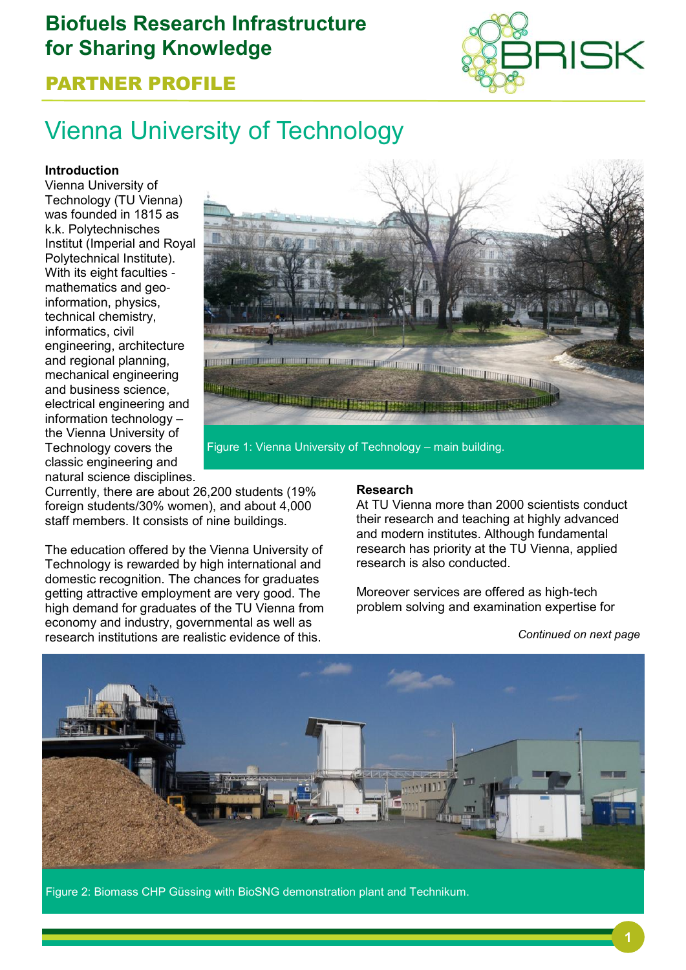# **Biofuels Research Infrastructure for Sharing Knowledge**



## PARTNER PROFILE

# Vienna University of Technology

#### **Introduction**

Vienna University of Technology (TU Vienna) was founded in 1815 as k.k. Polytechnisches Institut (Imperial and Royal Polytechnical Institute). With its eight faculties mathematics and geoinformation, physics, technical chemistry, informatics, civil engineering, architecture and regional planning, mechanical engineering and business science, electrical engineering and information technology – the Vienna University of Technology covers the classic engineering and natural science disciplines.



Figure 1: Vienna University of Technology – main building.

Currently, there are about 26,200 students (19% foreign students/30% women), and about 4,000 staff members. It consists of nine buildings.

The education offered by the Vienna University of Technology is rewarded by high international and domestic recognition. The chances for graduates getting attractive employment are very good. The high demand for graduates of the TU Vienna from economy and industry, governmental as well as research institutions are realistic evidence of this. *Continued on next page*

#### **Research**

At TU Vienna more than 2000 scientists conduct their research and teaching at highly advanced and modern institutes. Although fundamental research has priority at the TU Vienna, applied research is also conducted.

Moreover services are offered as high-tech problem solving and examination expertise for



Figure 2: Biomass CHP Güssing with BioSNG demonstration plant and Technikum.